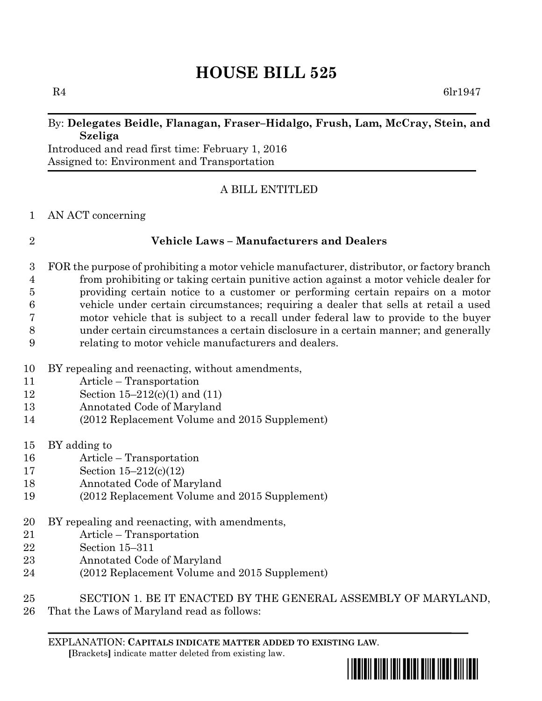# **HOUSE BILL 525**

 $R4$  6lr1947

### By: **Delegates Beidle, Flanagan, Fraser–Hidalgo, Frush, Lam, McCray, Stein, and Szeliga**

Introduced and read first time: February 1, 2016 Assigned to: Environment and Transportation

# A BILL ENTITLED

### AN ACT concerning

# **Vehicle Laws – Manufacturers and Dealers**

- FOR the purpose of prohibiting a motor vehicle manufacturer, distributor, or factory branch from prohibiting or taking certain punitive action against a motor vehicle dealer for providing certain notice to a customer or performing certain repairs on a motor vehicle under certain circumstances; requiring a dealer that sells at retail a used motor vehicle that is subject to a recall under federal law to provide to the buyer under certain circumstances a certain disclosure in a certain manner; and generally relating to motor vehicle manufacturers and dealers.
- BY repealing and reenacting, without amendments,
- Article Transportation
- Section 15–212(c)(1) and (11)
- Annotated Code of Maryland
- (2012 Replacement Volume and 2015 Supplement)
- BY adding to
- Article Transportation
- Section 15–212(c)(12)
- Annotated Code of Maryland
- (2012 Replacement Volume and 2015 Supplement)
- BY repealing and reenacting, with amendments,
- Article Transportation
- Section 15–311
- Annotated Code of Maryland
- (2012 Replacement Volume and 2015 Supplement)
- SECTION 1. BE IT ENACTED BY THE GENERAL ASSEMBLY OF MARYLAND,
- That the Laws of Maryland read as follows:

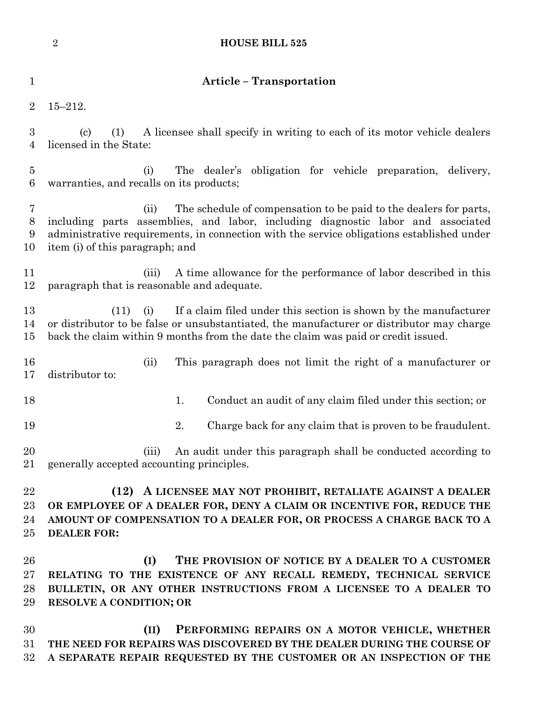|                                    | $\sqrt{2}$                                                                                                                                                                                                                                                                                    | <b>HOUSE BILL 525</b>                                                                                                                                                                                                                              |  |
|------------------------------------|-----------------------------------------------------------------------------------------------------------------------------------------------------------------------------------------------------------------------------------------------------------------------------------------------|----------------------------------------------------------------------------------------------------------------------------------------------------------------------------------------------------------------------------------------------------|--|
| $\mathbf 1$                        |                                                                                                                                                                                                                                                                                               | <b>Article - Transportation</b>                                                                                                                                                                                                                    |  |
| $\overline{2}$                     | $15 - 212.$                                                                                                                                                                                                                                                                                   |                                                                                                                                                                                                                                                    |  |
| $\boldsymbol{3}$<br>$\overline{4}$ | $\left( \text{c}\right)$<br>(1)<br>licensed in the State:                                                                                                                                                                                                                                     | A licensee shall specify in writing to each of its motor vehicle dealers                                                                                                                                                                           |  |
| $\overline{5}$<br>$6\phantom{.}6$  | (i)<br>warranties, and recalls on its products;                                                                                                                                                                                                                                               | The dealer's<br>obligation for vehicle preparation, delivery,                                                                                                                                                                                      |  |
| 7<br>$8\,$<br>9<br>10              | The schedule of compensation to be paid to the dealers for parts,<br>(ii)<br>including parts assemblies, and labor, including diagnostic labor and associated<br>administrative requirements, in connection with the service obligations established under<br>item (i) of this paragraph; and |                                                                                                                                                                                                                                                    |  |
| 11<br>12                           | (iii)<br>paragraph that is reasonable and adequate.                                                                                                                                                                                                                                           | A time allowance for the performance of labor described in this                                                                                                                                                                                    |  |
| 13<br>14<br>$15\,$                 | (11)<br>(i)                                                                                                                                                                                                                                                                                   | If a claim filed under this section is shown by the manufacturer<br>or distributor to be false or unsubstantiated, the manufacturer or distributor may charge<br>back the claim within 9 months from the date the claim was paid or credit issued. |  |
| 16<br>17                           | (ii)<br>distributor to:                                                                                                                                                                                                                                                                       | This paragraph does not limit the right of a manufacturer or                                                                                                                                                                                       |  |
| 18                                 |                                                                                                                                                                                                                                                                                               | 1.<br>Conduct an audit of any claim filed under this section; or                                                                                                                                                                                   |  |
| 19                                 |                                                                                                                                                                                                                                                                                               | 2.<br>Charge back for any claim that is proven to be fraudulent.                                                                                                                                                                                   |  |
| 20<br>21                           | (iii)<br>generally accepted accounting principles.                                                                                                                                                                                                                                            | An audit under this paragraph shall be conducted according to                                                                                                                                                                                      |  |
| 22<br>23<br>24<br>25               | <b>DEALER FOR:</b>                                                                                                                                                                                                                                                                            | (12) A LICENSEE MAY NOT PROHIBIT, RETALIATE AGAINST A DEALER<br>OR EMPLOYEE OF A DEALER FOR, DENY A CLAIM OR INCENTIVE FOR, REDUCE THE<br>AMOUNT OF COMPENSATION TO A DEALER FOR, OR PROCESS A CHARGE BACK TO A                                    |  |
| 26<br>$27\,$<br>28<br>29           | (I)<br><b>RESOLVE A CONDITION; OR</b>                                                                                                                                                                                                                                                         | THE PROVISION OF NOTICE BY A DEALER TO A CUSTOMER<br>RELATING TO THE EXISTENCE OF ANY RECALL REMEDY, TECHNICAL SERVICE<br>BULLETIN, OR ANY OTHER INSTRUCTIONS FROM A LICENSEE TO A DEALER TO                                                       |  |
| 30<br>$31\,$                       | (II)                                                                                                                                                                                                                                                                                          | PERFORMING REPAIRS ON A MOTOR VEHICLE, WHETHER<br>THE NEED FOR REPAIRS WAS DISCOVERED BY THE DEALER DURING THE COURSE OF                                                                                                                           |  |

**A SEPARATE REPAIR REQUESTED BY THE CUSTOMER OR AN INSPECTION OF THE**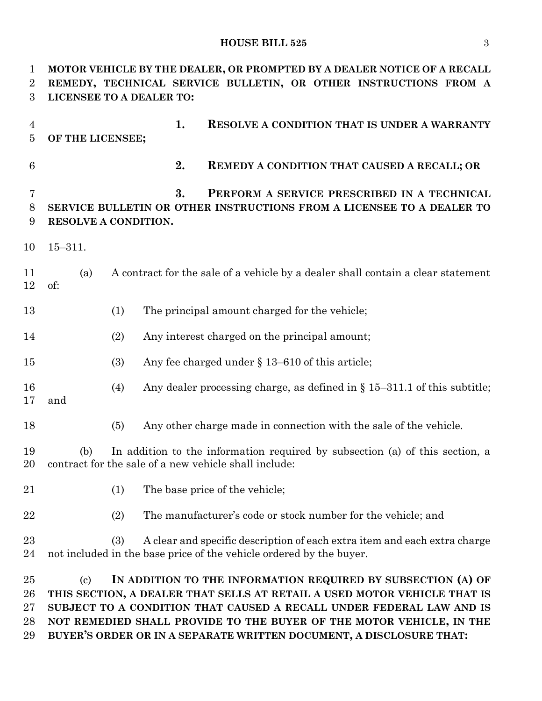# **HOUSE BILL 525** 3

| 1                                | MOTOR VEHICLE BY THE DEALER, OR PROMPTED BY A DEALER NOTICE OF A RECALL                                                                                                                                                                                                                                                                                                                     |  |  |
|----------------------------------|---------------------------------------------------------------------------------------------------------------------------------------------------------------------------------------------------------------------------------------------------------------------------------------------------------------------------------------------------------------------------------------------|--|--|
| $\overline{2}$<br>3              | REMEDY, TECHNICAL SERVICE BULLETIN, OR OTHER INSTRUCTIONS FROM A<br>LICENSEE TO A DEALER TO:                                                                                                                                                                                                                                                                                                |  |  |
| $\overline{4}$<br>$\overline{5}$ | 1.<br><b>RESOLVE A CONDITION THAT IS UNDER A WARRANTY</b><br>OF THE LICENSEE;                                                                                                                                                                                                                                                                                                               |  |  |
| $\,6$                            | 2.<br><b>REMEDY A CONDITION THAT CAUSED A RECALL; OR</b>                                                                                                                                                                                                                                                                                                                                    |  |  |
| 7<br>8<br>9                      | 3.<br>PERFORM A SERVICE PRESCRIBED IN A TECHNICAL<br>SERVICE BULLETIN OR OTHER INSTRUCTIONS FROM A LICENSEE TO A DEALER TO<br>RESOLVE A CONDITION.                                                                                                                                                                                                                                          |  |  |
| 10                               | $15 - 311.$                                                                                                                                                                                                                                                                                                                                                                                 |  |  |
| 11<br>12                         | A contract for the sale of a vehicle by a dealer shall contain a clear statement<br>(a)<br>of:                                                                                                                                                                                                                                                                                              |  |  |
| 13                               | The principal amount charged for the vehicle;<br>(1)                                                                                                                                                                                                                                                                                                                                        |  |  |
| 14                               | (2)<br>Any interest charged on the principal amount;                                                                                                                                                                                                                                                                                                                                        |  |  |
| 15                               | Any fee charged under $\S$ 13–610 of this article;<br>(3)                                                                                                                                                                                                                                                                                                                                   |  |  |
| 16<br>17                         | Any dealer processing charge, as defined in $\S 15-311.1$ of this subtitle;<br>(4)<br>and                                                                                                                                                                                                                                                                                                   |  |  |
| 18                               | Any other charge made in connection with the sale of the vehicle.<br>(5)                                                                                                                                                                                                                                                                                                                    |  |  |
| 19<br>20                         | In addition to the information required by subsection (a) of this section, a<br>(b)<br>contract for the sale of a new vehicle shall include:                                                                                                                                                                                                                                                |  |  |
| 21                               | The base price of the vehicle;<br>(1)                                                                                                                                                                                                                                                                                                                                                       |  |  |
| 22                               | The manufacturer's code or stock number for the vehicle; and<br>(2)                                                                                                                                                                                                                                                                                                                         |  |  |
| 23<br>24                         | A clear and specific description of each extra item and each extra charge<br>(3)<br>not included in the base price of the vehicle ordered by the buyer.                                                                                                                                                                                                                                     |  |  |
| 25<br>26<br>27<br>28<br>29       | IN ADDITION TO THE INFORMATION REQUIRED BY SUBSECTION (A) OF<br>$\left( \text{c}\right)$<br>THIS SECTION, A DEALER THAT SELLS AT RETAIL A USED MOTOR VEHICLE THAT IS<br>SUBJECT TO A CONDITION THAT CAUSED A RECALL UNDER FEDERAL LAW AND IS<br>NOT REMEDIED SHALL PROVIDE TO THE BUYER OF THE MOTOR VEHICLE, IN THE<br>BUYER'S ORDER OR IN A SEPARATE WRITTEN DOCUMENT, A DISCLOSURE THAT: |  |  |